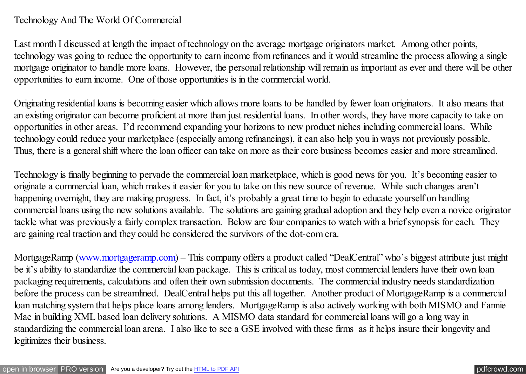## Technology And The World Of Commercial

Last month I discussed at length the impact of technology on the average mortgage originators market. Among other points, technology was going to reduce the opportunity to earn income from refinances and it would streamline the process allowing a single mortgage originator to handle more loans. However, the personal relationship will remain as important as ever and there will be other opportunities to earn income. One of those opportunities is in the commercial world.

Originating residential loans is becoming easier which allows more loans to be handled by fewer loan originators. It also means that an existing originator can become proficient at more than just residential loans. In other words, they have more capacity to take on opportunities in other areas. I'd recommend expanding your horizons to new product niches including commercial loans. While technology could reduce your marketplace (especially among refinancings), it can also help you in ways not previously possible. Thus, there is a general shift where the loan officer can take on more as their core business becomes easier and more streamlined.

Technology is finally beginning to pervade the commercial loan marketplace, which is good news for you. It's becoming easier to originate a commercial loan, which makes it easier for you to take on this new source of revenue. While such changes aren't happening overnight, they are making progress. In fact, it's probably a great time to begin to educate yourself on handling commercial loans using the new solutions available. The solutions are gaining gradual adoption and they help even a novice originator tackle what was previously a fairly complex transaction. Below are four companies to watch with a brief synopsis for each. They are gaining real traction and they could be considered the survivors of the dot-com era.

MortgageRamp [\(www.mortgageramp.com\)](http://www.mortgageramp.com/) – This company offers a product called "DealCentral" who's biggest attribute just might be it's ability to standardize the commercial loan package. This is critical as today, most commercial lenders have their own loan packaging requirements, calculations and often their own submission documents. The commercial industry needs standardization before the process can be streamlined. DealCentral helps put this all together. Another product of MortgageRamp is a commercial loan matching system that helps place loans among lenders. MortgageRamp is also actively working with both MISMO and Fannie Mae in building XML based loan delivery solutions. A MISMO data standard for commercial loans will go a long way in standardizing the commercial loan arena. I also like to see a GSE involved with these firms as it helps insure their longevity and legitimizes their business.